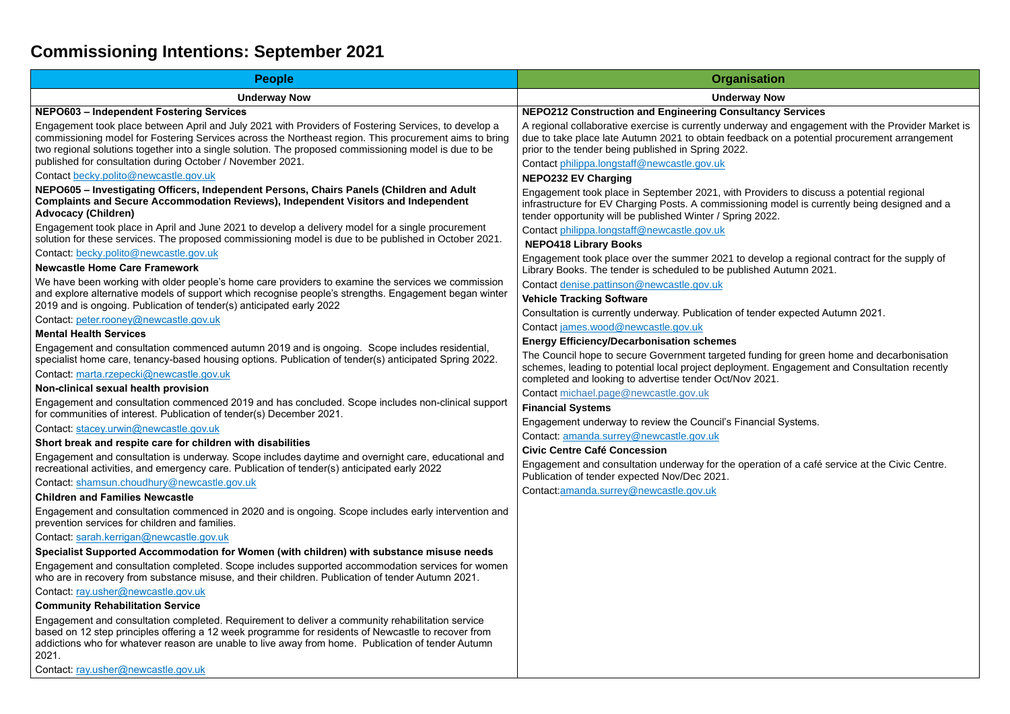# **Commissioning Intentions: September 2021**

| <b>People</b>                                                                                                                                                                                                                                                                                                                                                                         | <b>Organisation</b>                                                                                                                                                                                             |
|---------------------------------------------------------------------------------------------------------------------------------------------------------------------------------------------------------------------------------------------------------------------------------------------------------------------------------------------------------------------------------------|-----------------------------------------------------------------------------------------------------------------------------------------------------------------------------------------------------------------|
| <b>Underway Now</b>                                                                                                                                                                                                                                                                                                                                                                   | <b>Underway Now</b>                                                                                                                                                                                             |
| <b>NEPO603 - Independent Fostering Services</b>                                                                                                                                                                                                                                                                                                                                       | <b>NEPO212 Construction and Engineering Consultancy</b>                                                                                                                                                         |
| Engagement took place between April and July 2021 with Providers of Fostering Services, to develop a<br>commissioning model for Fostering Services across the Northeast region. This procurement aims to bring<br>two regional solutions together into a single solution. The proposed commissioning model is due to be<br>published for consultation during October / November 2021. | A regional collaborative exercise is currently underway and<br>due to take place late Autumn 2021 to obtain feedback on<br>prior to the tender being published in Spring 2022.                                  |
| Contact becky.polito@newcastle.gov.uk                                                                                                                                                                                                                                                                                                                                                 | Contact philippa.longstaff@newcastle.gov.uk                                                                                                                                                                     |
| NEPO605 - Investigating Officers, Independent Persons, Chairs Panels (Children and Adult<br><b>Complaints and Secure Accommodation Reviews), Independent Visitors and Independent</b><br><b>Advocacy (Children)</b>                                                                                                                                                                   | <b>NEPO232 EV Charging</b><br>Engagement took place in September 2021, with Providers<br>infrastructure for EV Charging Posts. A commissioning mo<br>tender opportunity will be published Winter / Spring 2022. |
| Engagement took place in April and June 2021 to develop a delivery model for a single procurement                                                                                                                                                                                                                                                                                     | Contact philippa.longstaff@newcastle.gov.uk                                                                                                                                                                     |
| solution for these services. The proposed commissioning model is due to be published in October 2021.                                                                                                                                                                                                                                                                                 | <b>NEPO418 Library Books</b>                                                                                                                                                                                    |
| Contact: becky.polito@newcastle.gov.uk                                                                                                                                                                                                                                                                                                                                                | Engagement took place over the summer 2021 to develop                                                                                                                                                           |
| <b>Newcastle Home Care Framework</b>                                                                                                                                                                                                                                                                                                                                                  | Library Books. The tender is scheduled to be published Au                                                                                                                                                       |
| We have been working with older people's home care providers to examine the services we commission                                                                                                                                                                                                                                                                                    | Contact denise.pattinson@newcastle.gov.uk                                                                                                                                                                       |
| and explore alternative models of support which recognise people's strengths. Engagement began winter<br>2019 and is ongoing. Publication of tender(s) anticipated early 2022                                                                                                                                                                                                         | <b>Vehicle Tracking Software</b>                                                                                                                                                                                |
| Contact: peter.rooney@newcastle.gov.uk                                                                                                                                                                                                                                                                                                                                                | Consultation is currently underway. Publication of tender e                                                                                                                                                     |
| <b>Mental Health Services</b>                                                                                                                                                                                                                                                                                                                                                         | Contact james.wood@newcastle.gov.uk                                                                                                                                                                             |
| Engagement and consultation commenced autumn 2019 and is ongoing. Scope includes residential,                                                                                                                                                                                                                                                                                         | <b>Energy Efficiency/Decarbonisation schemes</b>                                                                                                                                                                |
| specialist home care, tenancy-based housing options. Publication of tender(s) anticipated Spring 2022.                                                                                                                                                                                                                                                                                | The Council hope to secure Government targeted funding                                                                                                                                                          |
| Contact: marta.rzepecki@newcastle.gov.uk                                                                                                                                                                                                                                                                                                                                              | schemes, leading to potential local project deployment. En<br>completed and looking to advertise tender Oct/Nov 2021.                                                                                           |
| Non-clinical sexual health provision                                                                                                                                                                                                                                                                                                                                                  | Contact michael.page@newcastle.gov.uk                                                                                                                                                                           |
| Engagement and consultation commenced 2019 and has concluded. Scope includes non-clinical support<br>for communities of interest. Publication of tender(s) December 2021.                                                                                                                                                                                                             | <b>Financial Systems</b>                                                                                                                                                                                        |
| Contact: stacey.urwin@newcastle.gov.uk                                                                                                                                                                                                                                                                                                                                                | Engagement underway to review the Council's Financial S                                                                                                                                                         |
| Short break and respite care for children with disabilities                                                                                                                                                                                                                                                                                                                           | Contact: amanda.surrey@newcastle.gov.uk<br><b>Civic Centre Café Concession</b>                                                                                                                                  |
| Engagement and consultation is underway. Scope includes daytime and overnight care, educational and<br>recreational activities, and emergency care. Publication of tender(s) anticipated early 2022                                                                                                                                                                                   | Engagement and consultation underway for the operation                                                                                                                                                          |
| Contact: shamsun.choudhury@newcastle.gov.uk                                                                                                                                                                                                                                                                                                                                           | Publication of tender expected Nov/Dec 2021.                                                                                                                                                                    |
| <b>Children and Families Newcastle</b>                                                                                                                                                                                                                                                                                                                                                | Contact:amanda.surrey@newcastle.gov.uk                                                                                                                                                                          |
| Engagement and consultation commenced in 2020 and is ongoing. Scope includes early intervention and<br>prevention services for children and families.                                                                                                                                                                                                                                 |                                                                                                                                                                                                                 |
| Contact: sarah.kerrigan@newcastle.gov.uk                                                                                                                                                                                                                                                                                                                                              |                                                                                                                                                                                                                 |
| Specialist Supported Accommodation for Women (with children) with substance misuse needs                                                                                                                                                                                                                                                                                              |                                                                                                                                                                                                                 |
| Engagement and consultation completed. Scope includes supported accommodation services for women<br>who are in recovery from substance misuse, and their children. Publication of tender Autumn 2021.                                                                                                                                                                                 |                                                                                                                                                                                                                 |
| Contact: ray.usher@newcastle.gov.uk                                                                                                                                                                                                                                                                                                                                                   |                                                                                                                                                                                                                 |
| <b>Community Rehabilitation Service</b>                                                                                                                                                                                                                                                                                                                                               |                                                                                                                                                                                                                 |
| Engagement and consultation completed. Requirement to deliver a community rehabilitation service<br>based on 12 step principles offering a 12 week programme for residents of Newcastle to recover from<br>addictions who for whatever reason are unable to live away from home. Publication of tender Autumn<br>2021.                                                                |                                                                                                                                                                                                                 |

Contact: [ray.usher@newcastle.gov.uk](mailto:ray.usher@newcastle.gov.uk)

**NEPOLY Services** a regional congercient with the Provider Market is  $\frac{1}{2}$ k on a potential procurement arrangement

viders to discuss a potential regional infracture for European Charging Charging Charging Charging and a compared and a

velop a regional contract for the supply of ed Autumn 2021.

der expected Autumn 2021.

nding for green home and decarbonisation nt. Engagement and Consultation recently

cial Systems.

ation of a café service at the Civic Centre.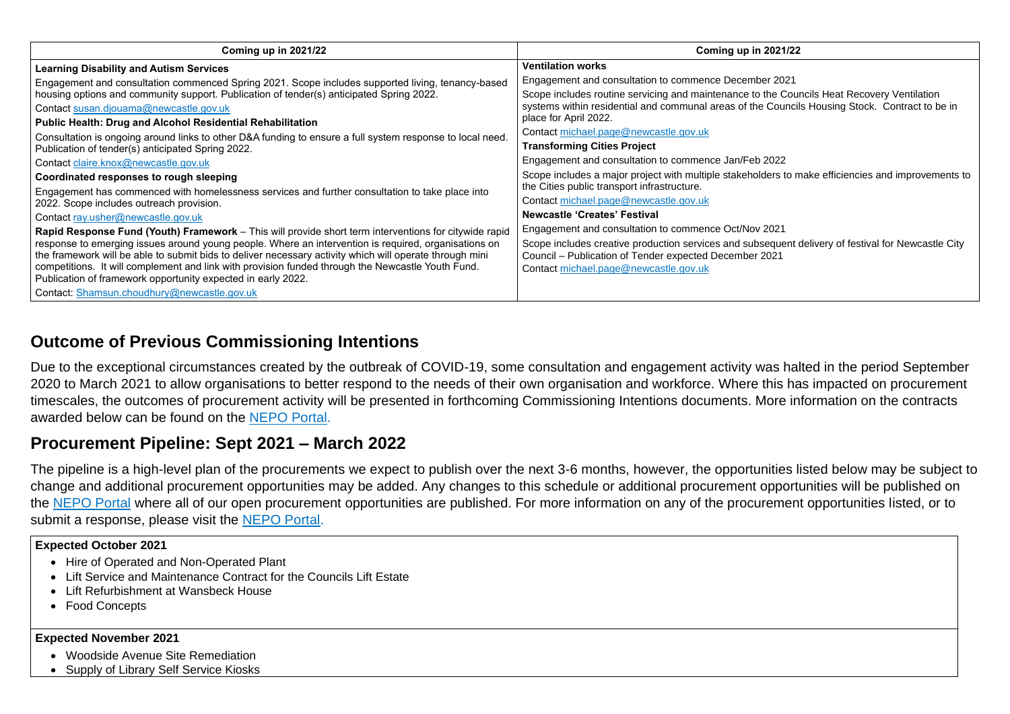| Coming up in 2021/22                                                                                                                                              | Coming up in 2021/22                                           |
|-------------------------------------------------------------------------------------------------------------------------------------------------------------------|----------------------------------------------------------------|
| <b>Learning Disability and Autism Services</b>                                                                                                                    | <b>Ventilation works</b>                                       |
| Engagement and consultation commenced Spring 2021. Scope includes supported living, tenancy-based                                                                 | Engagement and consultation to commence December 2021          |
| housing options and community support. Publication of tender(s) anticipated Spring 2022.                                                                          | Scope includes routine servicing and maintenance to the Cou    |
| Contact susan.djouama@newcastle.gov.uk                                                                                                                            | systems within residential and communal areas of the Council   |
| <b>Public Health: Drug and Alcohol Residential Rehabilitation</b>                                                                                                 | place for April 2022.                                          |
| Consultation is ongoing around links to other D&A funding to ensure a full system response to local need.                                                         | Contact michael.page@newcastle.gov.uk                          |
| Publication of tender(s) anticipated Spring 2022.                                                                                                                 | <b>Transforming Cities Project</b>                             |
| Contact claire.knox@newcastle.gov.uk                                                                                                                              | Engagement and consultation to commence Jan/Feb 2022           |
| Coordinated responses to rough sleeping                                                                                                                           | Scope includes a major project with multiple stakeholders to n |
| Engagement has commenced with homelessness services and further consultation to take place into                                                                   | the Cities public transport infrastructure.                    |
| 2022. Scope includes outreach provision.                                                                                                                          | Contact michael.page@newcastle.gov.uk                          |
| Contact ray.usher@newcastle.gov.uk                                                                                                                                | <b>Newcastle 'Creates' Festival</b>                            |
| Rapid Response Fund (Youth) Framework – This will provide short term interventions for citywide rapid                                                             | Engagement and consultation to commence Oct/Nov 2021           |
| response to emerging issues around young people. Where an intervention is required, organisations on                                                              | Scope includes creative production services and subsequent     |
| the framework will be able to submit bids to deliver necessary activity which will operate through mini                                                           | Council - Publication of Tender expected December 2021         |
| competitions. It will complement and link with provision funded through the Newcastle Youth Fund.<br>Publication of framework opportunity expected in early 2022. | Contact michael.page@newcastle.gov.uk                          |
|                                                                                                                                                                   |                                                                |
| Contact: Shamsun.choudhury@newcastle.gov.uk                                                                                                                       |                                                                |

# **Outcome of Previous Commissioning Intentions**

Due to the exceptional circumstances created by the outbreak of COVID-19, some consultation and engagement activity was halted in the period September 2020 to March 2021 to allow organisations to better respond to the needs of their own organisation and workforce. Where this has impacted on procurement timescales, the outcomes of procurement activity will be presented in forthcoming Commissioning Intentions documents. More information on the contracts awarded below can be found on the [NEPO Portal.](https://www.nepo.org/suppliers/portal)

# **Procurement Pipeline: Sept 2021 – March 2022**

The pipeline is a high-level plan of the procurements we expect to publish over the next 3-6 months, however, the opportunities listed below may be subject to change and additional procurement opportunities may be added. Any changes to this schedule or additional procurement opportunities will be published on the [NEPO Portal](https://www.nepo.org/suppliers/portal) where all of our open procurement opportunities are published. For more information on any of the procurement opportunities listed, or to submit a response, please visit the [NEPO Portal.](https://www.nepo.org/suppliers/portal)

## **Expected October 2021**

- Hire of Operated and Non-Operated Plant
- Lift Service and Maintenance Contract for the Councils Lift Estate
- Lift Refurbishment at Wansbeck House
- Food Concepts

## **Expected November 2021**

- Woodside Avenue Site Remediation
- Supply of Library Self Service Kiosks

the Councils Heat Recovery Ventilation Councils Housing Stock. Contract to be in

ders to make efficiencies and improvements to

equent delivery of festival for Newcastle City